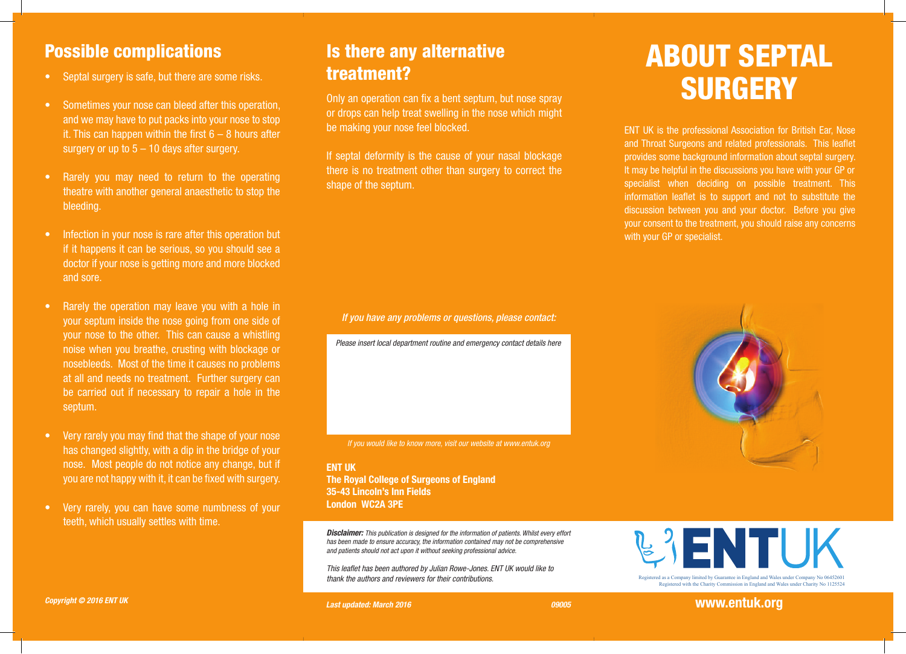### Possible complications

- Septal surgery is safe, but there are some risks.
- Sometimes your nose can bleed after this operation, and we may have to put packs into your nose to stop it. This can happen within the first  $6 - 8$  hours after surgery or up to  $5 - 10$  days after surgery.
- Rarely you may need to return to the operating theatre with another general anaesthetic to stop the bleeding.
- Infection in your nose is rare after this operation but if it happens it can be serious, so you should see a doctor if your nose is getting more and more blocked and sore.
- Rarely the operation may leave you with a hole in your septum inside the nose going from one side of your nose to the other. This can cause a whistling noise when you breathe, crusting with blockage or nosebleeds. Most of the time it causes no problems at all and needs no treatment. Further surgery can be carried out if necessary to repair a hole in the septum.
- Very rarely you may find that the shape of your nose has changed slightly, with a dip in the bridge of your nose. Most people do not notice any change, but if you are not happy with it, it can be fixed with surgery.
- Very rarely, you can have some numbness of your teeth, which usually settles with time.

### Is there any alternative treatment?

Only an operation can fix a bent septum, but nose spray or drops can help treat swelling in the nose which might be making your nose feel blocked.

If septal deformity is the cause of your nasal blockage there is no treatment other than surgery to correct the shape of the septum.

*If you have any problems or questions, please contact:*

*Please insert local department routine and emergency contact details here*

*If you would like to know more, visit our website at www.entuk.org*

ENT UK The Royal College of Surgeons of England 35-43 Lincoln's Inn Fields London WC2A 3PE

*Disclaimer: This publication is designed for the information of patients. Whilst every effort has been made to ensure accuracy, the information contained may not be comprehensive and patients should not act upon it without seeking professional advice.*

*This leaflet has been authored by Julian Rowe-Jones. ENT UK would like to thank the authors and reviewers for their contributions.*



ENT UK is the professional Association for British Ear, Nose and Throat Surgeons and related professionals. This leaflet provides some background information about septal surgery. It may be helpful in the discussions you have with your GP or specialist when deciding on possible treatment. This information leaflet is to support and not to substitute the discussion between you and your doctor. Before you give your consent to the treatment, you should raise any concerns with your GP or specialist.





Registered with the Charity Commission in England and Wales under Charity No 1125524

Registered as a Company limited by Guarantee in England and Wales under Company No 06452601